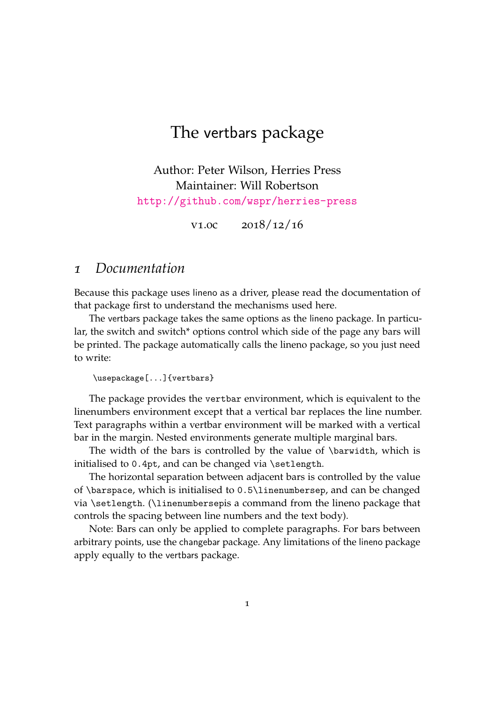## The vertbars package

Author: Peter Wilson, Herries Press Maintainer: Will Robertson <http://github.com/wspr/herries-press>

v1.0c 2018/12/16

## *1 Documentation*

Because this package uses lineno as a driver, please read the documentation of that package first to understand the mechanisms used here.

The vertbars package takes the same options as the lineno package. In particular, the switch and switch\* options control which side of the page any bars will be printed. The package automatically calls the lineno package, so you just need to write:

```
\usepackage[...]{vertbars}
```
The package provides the vertbar environment, which is equivalent to the linenumbers environment except that a vertical bar replaces the line number. Text paragraphs within a vertbar environment will be marked with a vertical bar in the margin. Nested environments generate multiple marginal bars.

The width of the bars is controlled by the value of \barwidth, which is initialised to 0.4pt, and can be changed via \setlength.

The horizontal separation between adjacent bars is controlled by the value of \barspace, which is initialised to 0.5\linenumbersep, and can be changed via \setlength. (\linenumbersepis a command from the lineno package that controls the spacing between line numbers and the text body).

Note: Bars can only be applied to complete paragraphs. For bars between arbitrary points, use the changebar package. Any limitations of the lineno package apply equally to the vertbars package.